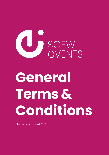

# **General Terms & Conditions**

Status January 24, 2022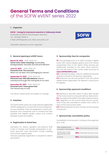# **General Terms and Conditions**  of the SOFW eVENT series 2022

#### **1. Organizer**

**SOFW – Verlag für chemische Industrie H. Ziolkowsky GmbH** Dorfstraße 40, 86470 Thannhausen, Germany Tel.: +49 8281 79940-0 E-Mail: eVENTS@sofw.com, Web: www.sofw.com



Thereafter referred to as the "organizer".

# **2. General opening & eVENT hours**

**March 24, 2022** 10:00–16:00 CET **Home Care: Clean Cleaning:** Sustainable, biodegradable, naturally sourced and efficient!

**June 23, 2022** 10:00–16:00 CET **Personal Care: The Coconut:**  What can we learn from packaging by nature?

**September 15, 2022** 10:00–16:00 CET **Personal Care: Skin Microbiome:** How to manoeuvre through the metropolis of our skin!

**December 08, 2022** 10:00–16:00 CET **Personal Care: I have green hair:**  The natural way to care

The above-stated times are subject to change.

## **3. Intention**

The SOFW eVENT series are small, themed digital B2B eVENTS designed to connect the home and personal care industries. They are designed to match participants and companies and to achieve the best possible and highest quality output and contact between buyers and sellers.

# **4. Registration & ticket fees**

Admission for visitors, speakers and sponsor staff is free of charge and includes participation in lectures, sponsors' area, discussion rounds, meeting and contact opportunities.

However, separate registration is required to attend the eVENTS.

# **5. Sponsorship: fees for companies**

**5.1.** The package price of € 2,000 includes a digital booth with various display options and a 20-minute presentation (incl. 5 min. Q&As). Other services are additionally included in the price. More information can be found in the current sales brochure at **www.SOFWeVENTS.com**.

**5.2.** Individual ancillary costs for additional services shall be invoiced to the sponsor separately.

**5.3.** All prices are net and quoted in EUR. VAT will be added where applicable. The relevant current price list applies.

# **6. Sponsorship: payment conditions**

**6.1.** Balance is due 100% within 14 days after receipt of the invoice and is to be paid without deductions. **6.2.** The date of the eVENT is the date of performance. **6.3.** Objections to the invoice shall only be considered if they are submitted in written form within 14 days of the invoice issue date.

**6.4.** Please state the invoice number as the purpose of payment.

# **7. Sponsorship: cancellation policy**

Cancellation must be sent in writing to the organizer by e-mail.

| After registering the<br>company in the system | <b>50%</b> of the total amount is due  |
|------------------------------------------------|----------------------------------------|
| 30 day prior to the<br>appropriate eVENT       | 100% of the total amount is due        |
| no show                                        | <b>100%</b> of the total amount is due |